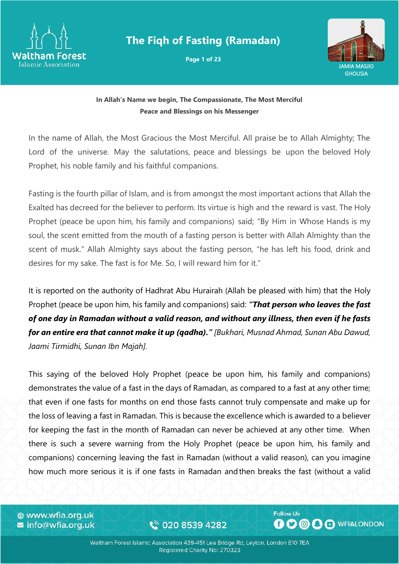

# **The Fiqh of Fasting (Ramadan)**

**Page 1 of 23**



#### **In Allah's Name we begin, The Compassionate, The Most Merciful Peace and Blessings on his Messenger**

In the name of Allah, the Most Gracious the Most Merciful. All praise be to Allah Almighty; The Lord of the universe. May the salutations, peace and blessings be upon the beloved Holy Prophet, his noble family and his faithful companions.

Fasting is the fourth pillar of Islam, and is from amongst the most important actions that Allah the Exalted has decreed for the believer to perform. Its virtue is high and the reward is vast. The Holy Prophet (peace be upon him, his family and companions) said; "By Him in Whose Hands is my soul, the scent emitted from the mouth of a fasting person is better with Allah Almighty than the scent of musk." Allah Almighty says about the fasting person, "he has left his food, drink and desires for my sake. The fast is for Me. So, I will reward him for it."

It is reported on the authority of Hadhrat Abu Hurairah (Allah be pleased with him) that the Holy Prophet (peace be upon him, his family and companions) said: *"That person who leaves the fast of one day in Ramadan without a valid reason, and without any illness, then even if he fasts for an entire era that cannot make it up (qadha)." [Bukhari, Musnad Ahmad, Sunan Abu Dawud, Jaami Tirmidhi, Sunan Ibn Majah].* 

This saying of the beloved Holy Prophet (peace be upon him, his family and companions) demonstrates the value of a fast in the days of Ramadan, as compared to a fast at any other time; that even if one fasts for months on end those fasts cannot truly compensate and make up for the loss of leaving a fast in Ramadan. This is because the excellence which is awarded to a believer for keeping the fast in the month of Ramadan can never be achieved at any other time. When there is such a severe warning from the Holy Prophet (peace be upon him, his family and companions) concerning leaving the fast in Ramadan (without a valid reason), can you imagine how much more serious it is if one fasts in Ramadan andthen breaks the fast (without a valid

⊕ www.wfia.org.uk  $\blacktriangleright$  info@wfia.org.uk

€ 020 8539 4282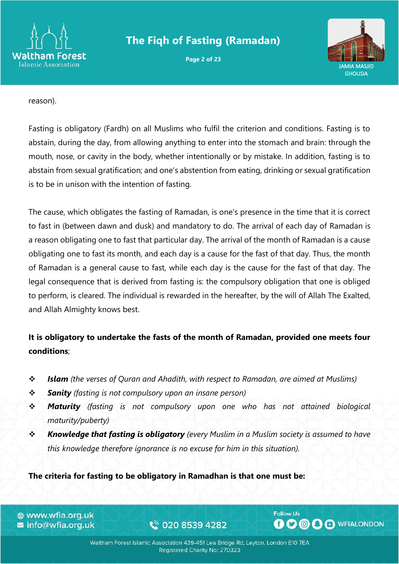

# **The Fiqh of Fasting (Ramadan)**

**Page 2 of 23**



reason).

Fasting is obligatory (Fardh) on all Muslims who fulfil the criterion and conditions. Fasting is to abstain, during the day, from allowing anything to enter into the stomach and brain: through the mouth, nose, or cavity in the body, whether intentionally or by mistake. In addition, fasting is to abstain from sexual gratification; and one's abstention from eating, drinking or sexual gratification is to be in unison with the intention of fasting.

The cause, which obligates the fasting of Ramadan, is one's presence in the time that it is correct to fast in (between dawn and dusk) and mandatory to do. The arrival of each day of Ramadan is a reason obligating one to fast that particular day. The arrival of the month of Ramadan is a cause obligating one to fast its month, and each day is a cause for the fast of that day. Thus, the month of Ramadan is a general cause to fast, while each day is the cause for the fast of that day. The legal consequence that is derived from fasting is: the compulsory obligation that one is obliged to perform, is cleared. The individual is rewarded in the hereafter, by the will of Allah The Exalted, and Allah Almighty knows best.

## **It is obligatory to undertake the fasts of the month of Ramadan, provided one meets four conditions**;

- ❖ *Islam (the verses of Quran and Ahadith, with respect to Ramadan, are aimed at Muslims)*
- ❖ *Sanity (fasting is not compulsory upon an insane person)*
- ❖ *Maturity (fasting is not compulsory upon one who has not attained biological maturity/puberty)*
- ❖ *Knowledge that fasting is obligatory (every Muslim in a Muslim society is assumed to have this knowledge therefore ignorance is no excuse for him in this situation).*

**The criteria for fasting to be obligatory in Ramadhan is that one must be:**

⊕ www.wfia.org.uk **z** info@wfia.org.uk

€ 020 8539 4282

Waltham Forest Islamic Association 439-451 Lea Bridge Rd, Leyton, London E10 7EA Registered Charity No: 270323

**Follow Us**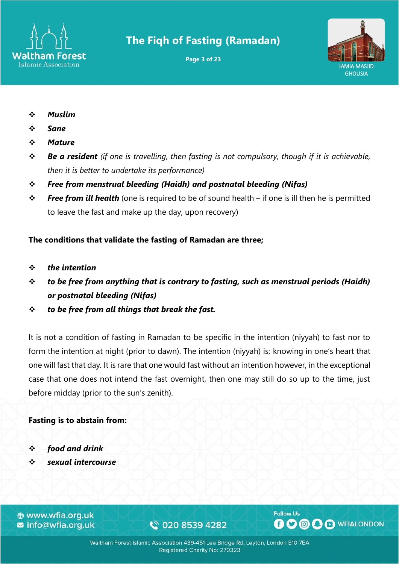

# **The Fiqh of Fasting (Ramadan)**

**Page 3 of 23**



- ❖ *Muslim*
- ❖ *Sane*
- ❖ *Mature*
- ❖ *Be a resident (if one is travelling, then fasting is not compulsory, though if it is achievable, then it is better to undertake its performance)*
- ❖ *Free from menstrual bleeding (Haidh) and postnatal bleeding (Nifas)*
- ❖ *Free from ill health* (one is required to be of sound health if one is ill then he is permitted to leave the fast and make up the day, upon recovery)

#### **The conditions that validate the fasting of Ramadan are three;**

- ❖ *the intention*
- ❖ *to be free from anything that is contrary to fasting, such as menstrual periods (Haidh) or postnatal bleeding (Nifas)*
- ❖ *to be free from all things that break the fast.*

It is not a condition of fasting in Ramadan to be specific in the intention (niyyah) to fast nor to form the intention at night (prior to dawn). The intention (niyyah) is; knowing in one's heart that one will fast that day*.* It is rare that one would fast without an intention however, in the exceptional case that one does not intend the fast overnight, then one may still do so up to the time, just before midday (prior to the sun's zenith).

#### **Fasting is to abstain from:**

- ❖ *food and drink*
- ❖ *sexual intercourse*

⊕ www.wfia.org.uk ■ info@wfia.org.uk

€ 020 8539 4282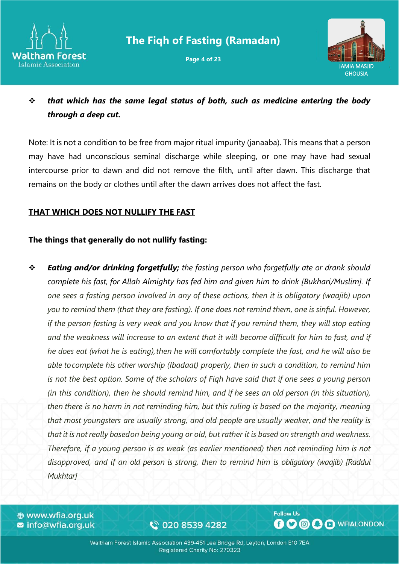

**Page 4 of 23**



❖ *that which has the same legal status of both, such as medicine entering the body through a deep cut.*

Note: It is not a condition to be free from major ritual impurity (janaaba). This means that a person may have had unconscious seminal discharge while sleeping, or one may have had sexual intercourse prior to dawn and did not remove the filth, until after dawn. This discharge that remains on the body or clothes until after the dawn arrives does not affect the fast.

#### **THAT WHICH DOES NOT NULLIFY THE FAST**

#### **The things that generally do not nullify fasting:**

❖ *Eating and/or drinking forgetfully; the fasting person who forgetfully ate or drank should complete his fast, for Allah Almighty has fed him and given him to drink [Bukhari/Muslim]. If one sees a fasting person involved in any of these actions, then it is obligatory (waajib) upon you to remind them (that they are fasting). If one does not remind them, one is sinful. However, if the person fasting is very weak and you know that if you remind them, they will stop eating and the weakness will increase to an extent that it will become difficult for him to fast, and if he does eat (what he is eating),then he will comfortably complete the fast, and he will also be able tocomplete his other worship (Ibadaat) properly, then in such a condition, to remind him is not the best option. Some of the scholars of Fiqh have said that if one sees a young person (in this condition), then he should remind him, and if he sees an old person (in this situation), then there is no harm in not reminding him, but this ruling is based on the majority, meaning that most youngsters are usually strong, and old people are usually weaker, and the reality is* that it is not really based on being young or old, but rather it is based on strength and weakness. *Therefore, if a young person is as weak (as earlier mentioned) then not reminding him is not disapproved, and if an old person is strong, then to remind him is obligatory (waajib) [Raddul Mukhtar]*

⊕ www.wfia.org.uk **z** info@wfia.org.uk

€ 020 8539 4282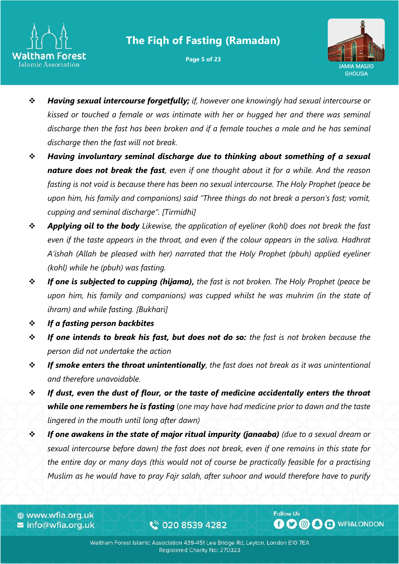

**Page 5 of 23**



- ❖ *Having sexual intercourse forgetfully; if, however one knowingly had sexual intercourse or kissed or touched a female or was intimate with her or hugged her and there was seminal discharge then the fast has been broken and if a female touches a male and he has seminal discharge then the fast will not break.*
- ❖ *Having involuntary seminal discharge due to thinking about something of a sexual nature does not break the fast, even if one thought about it for a while. And the reason fasting is not void is because there has been no sexual intercourse. The Holy Prophet (peace be upon him, his family and companions) said "Three things do not break a person's fast; vomit, cupping and seminal discharge". [Tirmidhi]*
- ❖ *Applying oil to the body Likewise, the application of eyeliner (kohl) does not break the fast even if the taste appears in the throat, and even if the colour appears in the saliva. Hadhrat A'ishah (Allah be pleased with her) narrated that the Holy Prophet (pbuh) applied eyeliner (kohl) while he (pbuh) was fasting.*
- ❖ *If one is subjected to cupping (hijama), the fast is not broken. The Holy Prophet (peace be upon him, his family and companions) was cupped whilst he was muhrim (in the state of ihram) and while fasting. [Bukhari]*
- ❖ *If a fasting person backbites*
- ❖ *If one intends to break his fast, but does not do so: the fast is not broken because the person did not undertake the action*
- ❖ *If smoke enters the throat unintentionally, the fast does not break as it was unintentional and therefore unavoidable.*
- ❖ *If dust, even the dust of flour, or the taste of medicine accidentally enters the throat while one remembers he is fasting* (*one may have had medicine prior to dawn and the taste lingered in the mouth until long after dawn)*
- ❖ *If one awakens in the state of major ritual impurity (janaaba) (due to a sexual dream or sexual intercourse before dawn) the fast does not break, even if one remains in this state for the entire day or many days (this would not of course be practically feasible for a practising Muslim as he would have to pray Fajr salah, after suhoor and would therefore have to purify*

⊕ www.wfia.org.uk **z** info@wfia.org.uk

€ 020 8539 4282

Waltham Forest Islamic Association 439-451 Lea Bridge Rd, Leyton, London E10 7EA Registered Charity No: 270323

**Follow Us**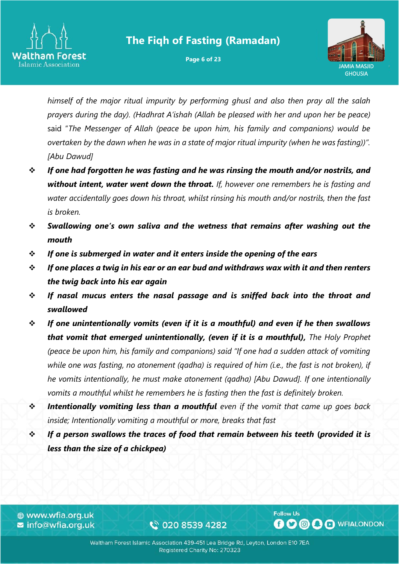

**Page 6 of 23**



*himself of the major ritual impurity by performing ghusl and also then pray all the salah prayers during the day). (Hadhrat A'ishah (Allah be pleased with her and upon her be peace)* said "*The Messenger of Allah (peace be upon him, his family and companions) would be overtaken by the dawn when he was in a state of major ritual impurity (when he was fasting))". [Abu Dawud]*

- ❖ *If one had forgotten he was fasting and he was rinsing the mouth and/or nostrils, and without intent, water went down the throat. If, however one remembers he is fasting and water accidentally goes down his throat, whilst rinsing his mouth and/or nostrils, then the fast is broken.*
- ❖ *Swallowing one's own saliva and the wetness that remains after washing out the mouth*
- ❖ *If one is submerged in water and it enters inside the opening of the ears*
- ❖ *If one places a twig in his ear or an ear bud and withdraws wax with it and then renters the twig back into his ear again*
- ❖ *If nasal mucus enters the nasal passage and is sniffed back into the throat and swallowed*
- ❖ *If one unintentionally vomits (even if it is a mouthful) and even if he then swallows that vomit that emerged unintentionally, (even if it is a mouthful), The Holy Prophet (peace be upon him, his family and companions) said "If one had a sudden attack of vomiting while one was fasting, no atonement (qadha) is required of him (i.e., the fast is not broken), if he vomits intentionally, he must make atonement (qadha) [Abu Dawud]. If one intentionally vomits a mouthful whilst he remembers he is fasting then the fast is definitely broken.*
- ❖ *Intentionally vomiting less than a mouthful even if the vomit that came up goes back inside; Intentionally vomiting a mouthful or more, breaks that fast*
- ❖ *If a person swallows the traces of food that remain between his teeth* **(***provided it is less than the size of a chickpea)*

⊕ www.wfia.org.uk **z** info@wfia.org.uk

€ 020 8539 4282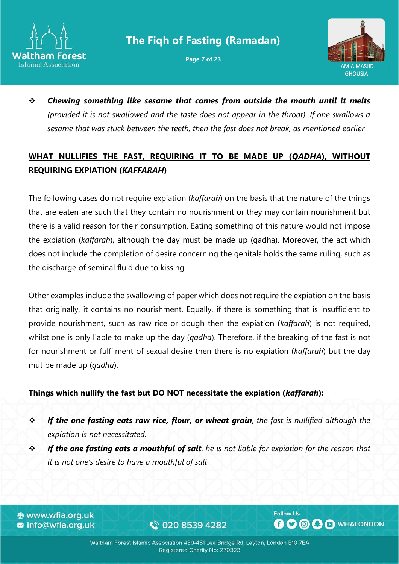

**Page 7 of 23**



❖ *Chewing something like sesame that comes from outside the mouth until it melts (provided it is not swallowed and the taste does not appear in the throat). If one swallows a sesame that was stuck between the teeth, then the fast does not break, as mentioned earlier*

## **WHAT NULLIFIES THE FAST, REQUIRING IT TO BE MADE UP (***QADHA***), WITHOUT REQUIRING EXPIATION (***KAFFARAH***)**

The following cases do not require expiation (*kaffarah*) on the basis that the nature of the things that are eaten are such that they contain no nourishment or they may contain nourishment but there is a valid reason for their consumption. Eating something of this nature would not impose the expiation (*kaffarah*), although the day must be made up (qadha). Moreover, the act which does not include the completion of desire concerning the genitals holds the same ruling, such as the discharge of seminal fluid due to kissing.

Other examples include the swallowing of paper which does not require the expiation on the basis that originally, it contains no nourishment. Equally, if there is something that is insufficient to provide nourishment, such as raw rice or dough then the expiation (*kaffarah*) is not required, whilst one is only liable to make up the day (*qadha*). Therefore, if the breaking of the fast is not for nourishment or fulfilment of sexual desire then there is no expiation (*kaffarah*) but the day mut be made up (*qadha*).

#### **Things which nullify the fast but DO NOT necessitate the expiation (***kaffarah***):**

- ❖ *If the one fasting eats raw rice, flour, or wheat grain*, *the fast is nullified although the expiation is not necessitated.*
- ❖ *If the one fasting eats a mouthful of salt*, *he is not liable for expiation for the reason that it is not one's desire to have a mouthful of salt*

⊕ www.wfia.org.uk **z** info@wfia.org.uk

€ 020 8539 4282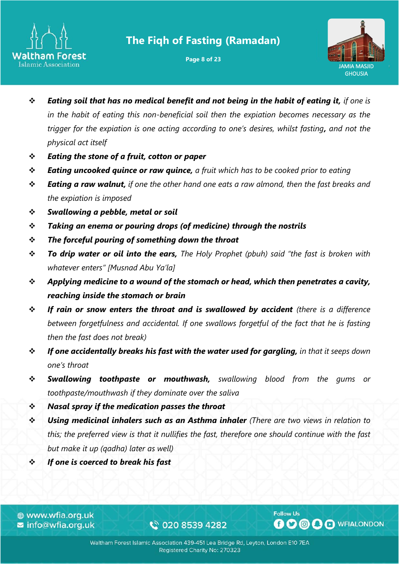

**Page 8 of 23**



- ❖ *Eating soil that has no medical benefit and not being in the habit of eating it, if one is in the habit of eating this non-beneficial soil then the expiation becomes necessary as the trigger for the expiation is one acting according to one's desires, whilst fasting, and not the physical act itself*
- ❖ *Eating the stone of a fruit, cotton or paper*
- ❖ *Eating uncooked quince or raw quince, a fruit which has to be cooked prior to eating*
- ❖ *Eating a raw walnut, if one the other hand one eats a raw almond, then the fast breaks and the expiation is imposed*
- ❖ *Swallowing a pebble, metal or soil*
- ❖ *Taking an enema or pouring drops (of medicine) through the nostrils*
- ❖ *The forceful pouring of something down the throat*
- ❖ *To drip water or oil into the ears, The Holy Prophet (pbuh) said "the fast is broken with whatever enters" [Musnad Abu Ya'la]*
- ❖ *Applying medicine to a wound of the stomach or head, which then penetrates a cavity, reaching inside the stomach or brain*
- ❖ *If rain or snow enters the throat and is swallowed by accident (there is a difference between forgetfulness and accidental. If one swallows forgetful of the fact that he is fasting then the fast does not break)*
- ❖ *If one accidentally breaks his fast with the water used for gargling, in that it seeps down one's throat*
- ❖ *Swallowing toothpaste or mouthwash, swallowing blood from the gums or toothpaste/mouthwash if they dominate over the saliva*
- ❖ *Nasal spray if the medication passes the throat*
- ❖ *Using medicinal inhalers such as an Asthma inhaler (There are two views in relation to this; the preferred view is that it nullifies the fast, therefore one should continue with the fast but make it up (qadha) later as well)*
- ❖ *If one is coerced to break his fast*

⊕ www.wfia.org.uk **z** info@wfia.org.uk

€ 020 8539 4282

Waltham Forest Islamic Association 439-451 Lea Bridge Rd, Leyton, London E10 7EA Registered Charity No: 270323

**Follow Us**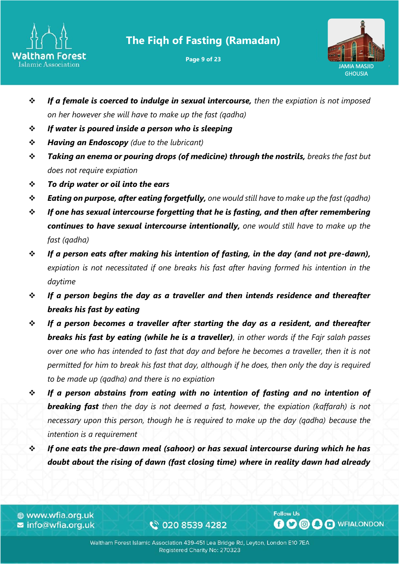

**Page 9 of 23**



- ❖ *If a female is coerced to indulge in sexual intercourse, then the expiation is not imposed on her however she will have to make up the fast (qadha)*
- ❖ *If water is poured inside a person who is sleeping*
- ❖ *Having an Endoscopy (due to the lubricant)*
- ❖ *Taking an enema or pouring drops (of medicine) through the nostrils, breaks the fast but does not require expiation*
- ❖ *To drip water or oil into the ears*
- ❖ *Eating on purpose, after eating forgetfully, one would still have to make up the fast (qadha)*
- ❖ *If one has sexual intercourse forgetting that he is fasting, and then after remembering continues to have sexual intercourse intentionally, one would still have to make up the fast (qadha)*
- ❖ *If a person eats after making his intention of fasting, in the day (and not pre-dawn), expiation is not necessitated if one breaks his fast after having formed his intention in the daytime*
- ❖ *If a person begins the day as a traveller and then intends residence and thereafter breaks his fast by eating*
- ❖ *If a person becomes a traveller after starting the day as a resident, and thereafter breaks his fast by eating (while he is a traveller), in other words if the Fajr salah passes over one who has intended to fast that day and before he becomes a traveller, then it is not permitted for him to break his fast that day, although if he does, then only the day is required to be made up (qadha) and there is no expiation*
- ❖ *If a person abstains from eating with no intention of fasting and no intention of breaking fast then the day is not deemed a fast, however, the expiation (kaffarah) is not necessary upon this person, though he is required to make up the day (qadha) because the intention is a requirement*
- ❖ *If one eats the pre-dawn meal (sahoor) or has sexual intercourse during which he has doubt about the rising of dawn (fast closing time) where in reality dawn had already*

⊕ www.wfia.org.uk **z** info@wfia.org.uk

€ 020 8539 4282

Waltham Forest Islamic Association 439-451 Lea Bridge Rd, Leyton, London E10 7EA Registered Charity No: 270323

**Follow Us**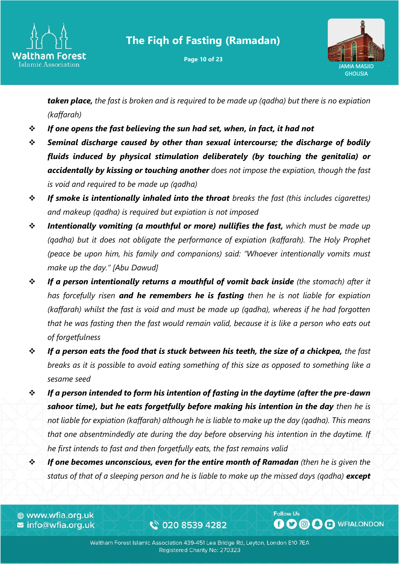

**Page 10 of 23**



*taken place, the fast is broken and is required to be made up (qadha) but there is no expiation (kaffarah)*

- ❖ *If one opens the fast believing the sun had set, when, in fact, it had not*
- ❖ *Seminal discharge caused by other than sexual intercourse; the discharge of bodily fluids induced by physical stimulation deliberately (by touching the genitalia) or accidentally by kissing or touching another does not impose the expiation, though the fast is void and required to be made up (qadha)*
- ❖ *If smoke is intentionally inhaled into the throat breaks the fast (this includes cigarettes) and makeup (qadha) is required but expiation is not imposed*
- ❖ *Intentionally vomiting (a mouthful or more) nullifies the fast, which must be made up (qadha) but it does not obligate the performance of expiation (kaffarah). The Holy Prophet (peace be upon him, his family and companions) said: "Whoever intentionally vomits must make up the day." [Abu Dawud]*
- ❖ *If a person intentionally returns a mouthful of vomit back inside (the stomach) after it has forcefully risen and he remembers he is fasting then he is not liable for expiation (kaffarah) whilst the fast is void and must be made up (qadha), whereas if he had forgotten that he was fasting then the fast would remain valid, because it is like a person who eats out of forgetfulness*
- ❖ *If a person eats the food that is stuck between his teeth, the size of a chickpea, the fast breaks as it is possible to avoid eating something of this size as opposed to something like a sesame seed*
- ❖ *If a person intended to form his intention of fasting in the daytime (after the pre-dawn*  **sahoor time), but he eats forgetfully before making his intention in the day** then he is *not liable for expiation (kaffarah) although he is liable to make up the day (qadha). This means that one absentmindedly ate during the day before observing his intention in the daytime. If he first intends to fast and then forgetfully eats, the fast remains valid*
- ❖ *If one becomes unconscious, even for the entire month of Ramadan (then he is given the status of that of a sleeping person and he is liable to make up the missed days (qadha) except*

⊕ www.wfia.org.uk **z** info@wfia.org.uk

€ 020 8539 4282

Waltham Forest Islamic Association 439-451 Lea Bridge Rd, Leyton, London E10 7EA Registered Charity No: 270323

**Follow Us**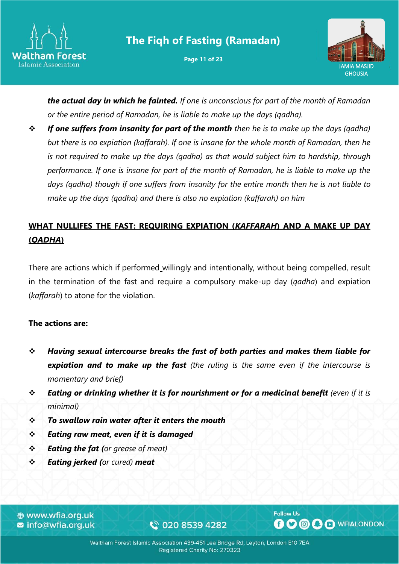

**Page 11 of 23**



*the actual day in which he fainted. If one is unconscious for part of the month of Ramadan or the entire period of Ramadan, he is liable to make up the days (qadha).*

❖ *If one suffers from insanity for part of the month then he is to make up the days (qadha) but there is no expiation (kaffarah). If one is insane for the whole month of Ramadan, then he is not required to make up the days (qadha) as that would subject him to hardship, through performance. If one is insane for part of the month of Ramadan, he is liable to make up the days (qadha) though if one suffers from insanity for the entire month then he is not liable to make up the days (qadha) and there is also no expiation (kaffarah) on him*

## **WHAT NULLIFES THE FAST: REQUIRING EXPIATION (***KAFFARAH***) AND A MAKE UP DAY (***QADHA***)**

There are actions which if performed willingly and intentionally, without being compelled, result in the termination of the fast and require a compulsory make-up day (*qadha*) and expiation (*kaffarah*) to atone for the violation.

#### **The actions are:**

- ❖ *Having sexual intercourse breaks the fast of both parties and makes them liable for expiation and to make up the fast (the ruling is the same even if the intercourse is momentary and brief)*
- ❖ *Eating or drinking whether it is for nourishment or for a medicinal benefit (even if it is minimal)*
- ❖ *To swallow rain water after it enters the mouth*
- ❖ *Eating raw meat, even if it is damaged*
- ❖ *Eating the fat (or grease of meat)*
- ❖ *Eating jerked (or cured) meat*

⊕ www.wfia.org.uk **z** info@wfia.org.uk

€ 020 8539 4282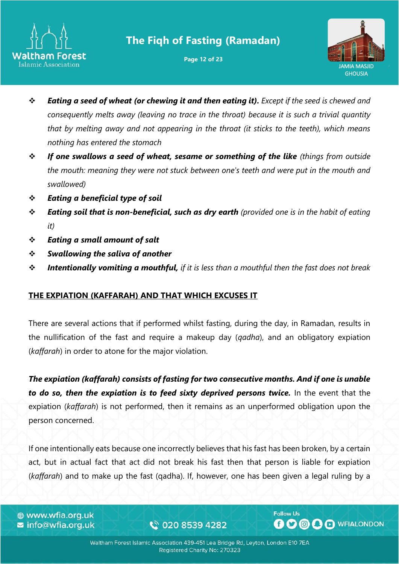

**Page 12 of 23**



- ❖ *Eating a seed of wheat (or chewing it and then eating it). Except if the seed is chewed and consequently melts away (leaving no trace in the throat) because it is such a trivial quantity that by melting away and not appearing in the throat (it sticks to the teeth), which means nothing has entered the stomach*
- ❖ *If one swallows a seed of wheat, sesame or something of the like (things from outside the mouth: meaning they were not stuck between one's teeth and were put in the mouth and swallowed)*
- ❖ *Eating a beneficial type of soil*
- ❖ *Eating soil that is non-beneficial, such as dry earth (provided one is in the habit of eating it)*
- ❖ *Eating a small amount of salt*
- ❖ *Swallowing the saliva of another*
- ❖ *Intentionally vomiting a mouthful, if it is less than a mouthful then the fast does not break*

#### **THE EXPIATION (KAFFARAH) AND THAT WHICH EXCUSES IT**

There are several actions that if performed whilst fasting, during the day, in Ramadan, results in the nullification of the fast and require a makeup day (*qadha*), and an obligatory expiation (*kaffarah*) in order to atone for the major violation.

*The expiation (kaffarah) consists of fasting for two consecutive months. And if one is unable to do so, then the expiation is to feed sixty deprived persons twice.* In the event that the expiation (*kaffarah*) is not performed, then it remains as an unperformed obligation upon the person concerned.

If one intentionally eats because one incorrectly believes that his fast has been broken, by a certain act, but in actual fact that act did not break his fast then that person is liable for expiation (*kaffarah*) and to make up the fast (qadha). If, however, one has been given a legal ruling by a

⊕ www.wfia.org.uk **z** info@wfia.org.uk

€ 020 8539 4282

**Follow Us BOOOO** WFIALONDON

Waltham Forest Islamic Association 439-451 Lea Bridge Rd, Leyton, London E10 7EA Registered Charity No: 270323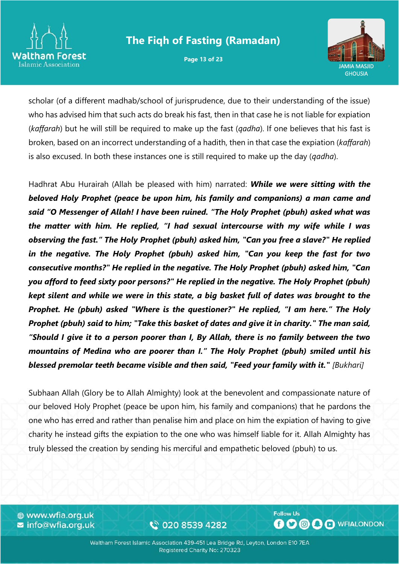

**Page 13 of 23**



scholar (of a different madhab/school of jurisprudence, due to their understanding of the issue) who has advised him that such acts do break his fast, then in that case he is not liable for expiation (*kaffarah*) but he will still be required to make up the fast (*qadha*). If one believes that his fast is broken, based on an incorrect understanding of a hadith, then in that case the expiation (*kaffarah*) is also excused. In both these instances one is still required to make up the day (*qadha*).

Hadhrat Abu Hurairah (Allah be pleased with him) narrated: *While we were sitting with the beloved Holy Prophet (peace be upon him, his family and companions) a man came and said "O Messenger of Allah! I have been ruined. "The Holy Prophet (pbuh) asked what was the matter with him. He replied, "I had sexual intercourse with my wife while I was observing the fast." The Holy Prophet (pbuh) asked him, "Can you free a slave?" He replied in the negative. The Holy Prophet (pbuh) asked him, "Can you keep the fast for two consecutive months?" He replied in the negative. The Holy Prophet (pbuh) asked him, "Can you afford to feed sixty poor persons?" He replied in the negative. The Holy Prophet (pbuh) kept silent and while we were in this state, a big basket full of dates was brought to the Prophet. He (pbuh) asked "Where is the questioner?" He replied, "I am here." The Holy Prophet (pbuh) said to him; "Take this basket of dates and give it in charity." The man said, "Should I give it to a person poorer than I, By Allah, there is no family between the two mountains of Medina who are poorer than I." The Holy Prophet (pbuh) smiled until his blessed premolar teeth became visible and then said, "Feed your family with it." [Bukhari]* 

Subhaan Allah (Glory be to Allah Almighty) look at the benevolent and compassionate nature of our beloved Holy Prophet (peace be upon him, his family and companions) that he pardons the one who has erred and rather than penalise him and place on him the expiation of having to give charity he instead gifts the expiation to the one who was himself liable for it. Allah Almighty has truly blessed the creation by sending his merciful and empathetic beloved (pbuh) to us.

⊕ www.wfia.org.uk **z** info@wfia.org.uk

€ 020 8539 4282

**Follow Us BOOOO** WFIALONDON

Waltham Forest Islamic Association 439-451 Lea Bridge Rd, Leyton, London E10 7EA Registered Charity No: 270323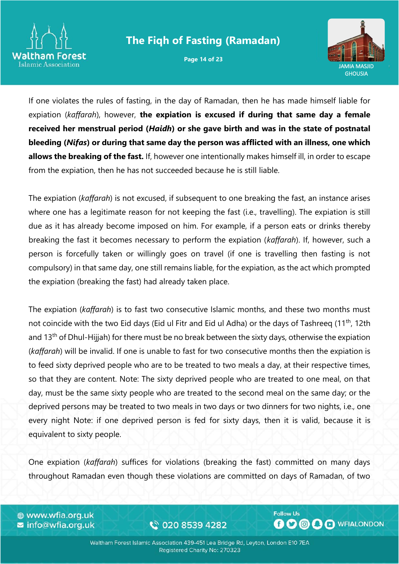

**Page 14 of 23**



If one violates the rules of fasting, in the day of Ramadan, then he has made himself liable for expiation (*kaffarah*), however, **the expiation is excused if during that same day a female received her menstrual period (***Haidh***) or she gave birth and was in the state of postnatal bleeding (***Nifas***) or during that same day the person was afflicted with an illness, one which allows the breaking of the fast.** If, however one intentionally makes himself ill, in order to escape from the expiation, then he has not succeeded because he is still liable.

The expiation (*kaffarah*) is not excused, if subsequent to one breaking the fast, an instance arises where one has a legitimate reason for not keeping the fast (i.e., travelling). The expiation is still due as it has already become imposed on him. For example, if a person eats or drinks thereby breaking the fast it becomes necessary to perform the expiation (*kaffarah*). If, however, such a person is forcefully taken or willingly goes on travel (if one is travelling then fasting is not compulsory) in that same day, one still remains liable, for the expiation, as the act which prompted the expiation (breaking the fast) had already taken place.

The expiation (*kaffarah*) is to fast two consecutive Islamic months, and these two months must not coincide with the two Eid days (Eid ul Fitr and Eid ul Adha) or the days of Tashreeq (11<sup>th</sup>, 12th and 13<sup>th</sup> of Dhul-Hijjah) for there must be no break between the sixty days, otherwise the expiation (*kaffarah*) will be invalid. If one is unable to fast for two consecutive months then the expiation is to feed sixty deprived people who are to be treated to two meals a day, at their respective times, so that they are content. Note: The sixty deprived people who are treated to one meal, on that day, must be the same sixty people who are treated to the second meal on the same day; or the deprived persons may be treated to two meals in two days or two dinners for two nights, i.e., one every night Note: if one deprived person is fed for sixty days, then it is valid, because it is equivalent to sixty people.

One expiation (*kaffarah*) suffices for violations (breaking the fast) committed on many days throughout Ramadan even though these violations are committed on days of Ramadan, of two

⊕ www.wfia.org.uk  $\blacktriangleright$  info@wfia.org.uk

€ 020 8539 4282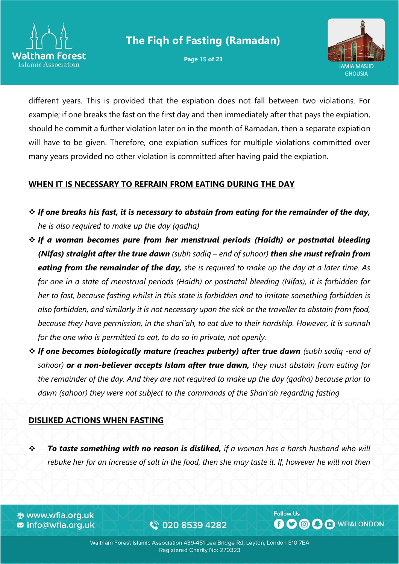

**Page 15 of 23**



different years. This is provided that the expiation does not fall between two violations. For example; if one breaks the fast on the first day and then immediately after that pays the expiation, should he commit a further violation later on in the month of Ramadan, then a separate expiation will have to be given. Therefore, one expiation suffices for multiple violations committed over many years provided no other violation is committed after having paid the expiation.

#### **WHEN IT IS NECESSARY TO REFRAIN FROM EATING DURING THE DAY**

- ❖ *If one breaks his fast, it is necessary to abstain from eating for the remainder of the day, he is also required to make up the day (qadha)*
- ❖ *If a woman becomes pure from her menstrual periods (Haidh) or postnatal bleeding (Nifas) straight after the true dawn (subh sadiq – end of suhoor) then she must refrain from eating from the remainder of the day, she is required to make up the day at a later time. As for one in a state of menstrual periods (Haidh) or postnatal bleeding (Nifas), it is forbidden for her to fast, because fasting whilst in this state is forbidden and to imitate something forbidden is also forbidden, and similarly it is not necessary upon the sick or the traveller to abstain from food, because they have permission, in the shari'ah, to eat due to their hardship. However, it is sunnah for the one who is permitted to eat, to do so in private, not openly.*
- ❖ *If one becomes biologically mature (reaches puberty) after true dawn (subh sadiq -end of sahoor) or a non-believer accepts Islam after true dawn, they must abstain from eating for the remainder of the day. And they are not required to make up the day (qadha) because prior to dawn (sahoor) they were not subject to the commands of the Shari'ah regarding fasting*

#### **DISLIKED ACTIONS WHEN FASTING**

❖ *To taste something with no reason is disliked, if a woman has a harsh husband who will rebuke her for an increase of salt in the food, then she may taste it. If, however he will not then* 

⊕ www.wfia.org.uk **z** info@wfia.org.uk

€ 020 8539 4282

Waltham Forest Islamic Association 439-451 Lea Bridge Rd, Leyton, London E10 7EA Registered Charity No: 270323

**Follow Us**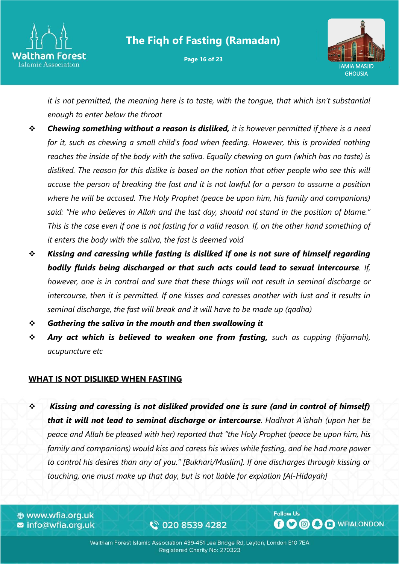

**Page 16 of 23**



*it is not permitted, the meaning here is to taste, with the tongue, that which isn't substantial enough to enter below the throat*

- ❖ *Chewing something without a reason is disliked, it is however permitted if there is a need for it, such as chewing a small child's food when feeding. However, this is provided nothing reaches the inside of the body with the saliva. Equally chewing on gum (which has no taste) is disliked. The reason for this dislike is based on the notion that other people who see this will accuse the person of breaking the fast and it is not lawful for a person to assume a position where he will be accused. The Holy Prophet (peace be upon him, his family and companions) said: "He who believes in Allah and the last day, should not stand in the position of blame." This is the case even if one is not fasting for a valid reason. If, on the other hand something of it enters the body with the saliva, the fast is deemed void*
- ❖ *Kissing and caressing while fasting is disliked if one is not sure of himself regarding bodily fluids being discharged or that such acts could lead to sexual intercourse. If, however, one is in control and sure that these things will not result in seminal discharge or intercourse, then it is permitted. If one kisses and caresses another with lust and it results in seminal discharge, the fast will break and it will have to be made up (qadha)*
- ❖ *Gathering the saliva in the mouth and then swallowing it*
- ❖ *Any act which is believed to weaken one from fasting, such as cupping (hijamah), acupuncture etc*

#### **WHAT IS NOT DISLIKED WHEN FASTING**

❖ *Kissing and caressing is not disliked provided one is sure (and in control of himself) that it will not lead to seminal discharge or intercourse*. *Hadhrat A'ishah (upon her be peace and Allah be pleased with her) reported that "the Holy Prophet (peace be upon him, his family and companions) would kiss and caress his wives while fasting, and he had more power to control his desires than any of you." [Bukhari/Muslim]. If one discharges through kissing or touching, one must make up that day, but is not liable for expiation [Al-Hidayah]*

⊕ www.wfia.org.uk **z** info@wfia.org.uk

€ 020 8539 4282

Waltham Forest Islamic Association 439-451 Lea Bridge Rd, Leyton, London E10 7EA Registered Charity No: 270323

**Follow Us**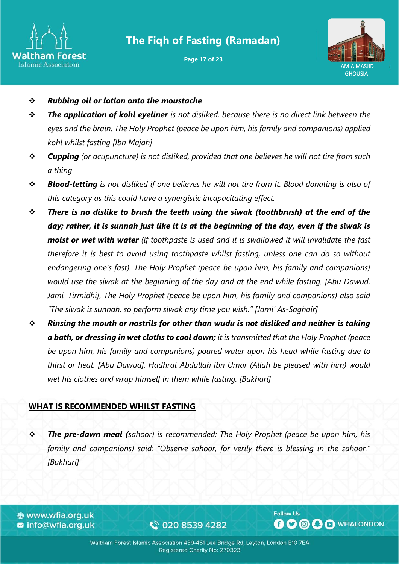

**Page 17 of 23**



- ❖ *Rubbing oil or lotion onto the moustache*
- ❖ *The application of kohl eyeliner is not disliked, because there is no direct link between the eyes and the brain. The Holy Prophet (peace be upon him, his family and companions) applied kohl whilst fasting [Ibn Majah]*
- ❖ *Cupping (or acupuncture) is not disliked, provided that one believes he will not tire from such a thing*
- ❖ *Blood-letting is not disliked if one believes he will not tire from it. Blood donating is also of this category as this could have a synergistic incapacitating effect.*
- ❖ *There is no dislike to brush the teeth using the siwak (toothbrush) at the end of the day; rather, it is sunnah just like it is at the beginning of the day, even if the siwak is moist or wet with water (if toothpaste is used and it is swallowed it will invalidate the fast therefore it is best to avoid using toothpaste whilst fasting, unless one can do so without endangering one's fast). The Holy Prophet (peace be upon him, his family and companions) would use the siwak at the beginning of the day and at the end while fasting. [Abu Dawud, Jami' Tirmidhi], The Holy Prophet (peace be upon him, his family and companions) also said "The siwak is sunnah, so perform siwak any time you wish." [Jami' As-Saghair]*
- ❖ *Rinsing the mouth or nostrils for other than wudu is not disliked and neither is taking a bath, or dressing in wet cloths to cool down; it is transmitted that the Holy Prophet (peace be upon him, his family and companions) poured water upon his head while fasting due to thirst or heat. [Abu Dawud], Hadhrat Abdullah ibn Umar (Allah be pleased with him) would wet his clothes and wrap himself in them while fasting. [Bukhari]*

#### **WHAT IS RECOMMENDED WHILST FASTING**

❖ *The pre-dawn meal (sahoor) is recommended; The Holy Prophet (peace be upon him, his family and companions) said; "Observe sahoor, for verily there is blessing in the sahoor." [Bukhari]*

⊕ www.wfia.org.uk **z** info@wfia.org.uk

€ 020 8539 4282

Waltham Forest Islamic Association 439-451 Lea Bridge Rd, Leyton, London E10 7EA Registered Charity No: 270323

**Follow Us**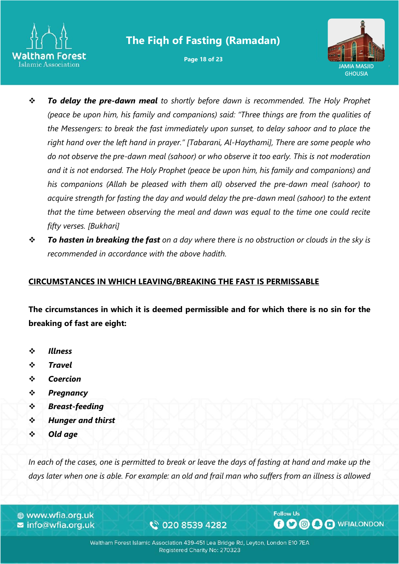

**Page 18 of 23**



- ❖ *To delay the pre-dawn meal to shortly before dawn is recommended. The Holy Prophet (peace be upon him, his family and companions) said: "Three things are from the qualities of the Messengers: to break the fast immediately upon sunset, to delay sahoor and to place the right hand over the left hand in prayer." [Tabarani, Al-Haythami], There are some people who do not observe the pre-dawn meal (sahoor) or who observe it too early. This is not moderation and it is not endorsed. The Holy Prophet (peace be upon him, his family and companions) and his companions (Allah be pleased with them all) observed the pre-dawn meal (sahoor) to acquire strength for fasting the day and would delay the pre-dawn meal (sahoor) to the extent that the time between observing the meal and dawn was equal to the time one could recite fifty verses. [Bukhari]*
- ❖ *To hasten in breaking the fast on a day where there is no obstruction or clouds in the sky is recommended in accordance with the above hadith.*

#### **CIRCUMSTANCES IN WHICH LEAVING/BREAKING THE FAST IS PERMISSABLE**

**The circumstances in which it is deemed permissible and for which there is no sin for the breaking of fast are eight:**

- ❖ *Illness*
- ❖ *Travel*
- ❖ *Coercion*
- ❖ *Pregnancy*
- ❖ *Breast-feeding*
- ❖ *Hunger and thirst*
- ❖ *Old age*

*In each of the cases, one is permitted to break or leave the days of fasting at hand and make up the days later when one is able. For example: an old and frail man who suffers from an illness is allowed* 

⊕ www.wfia.org.uk **z** info@wfia.org.uk

€ 020 8539 4282

Waltham Forest Islamic Association 439-451 Lea Bridge Rd, Leyton, London E10 7EA Registered Charity No: 270323

**Follow Us**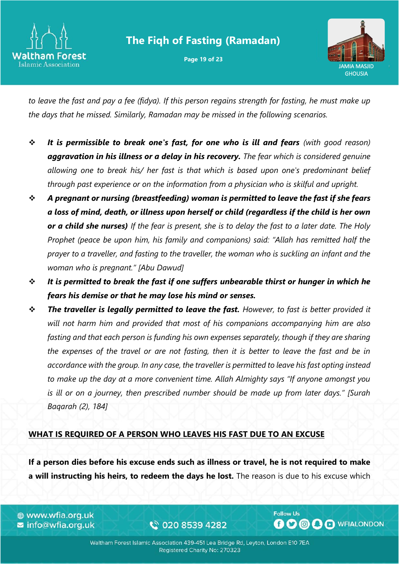

**Page 19 of 23**



*to leave the fast and pay a fee (fidya). If this person regains strength for fasting, he must make up the days that he missed. Similarly, Ramadan may be missed in the following scenarios.*

- ❖ *It is permissible to break one's fast, for one who is ill and fears (with good reason) aggravation in his illness or a delay in his recovery. The fear which is considered genuine allowing one to break his/ her fast is that which is based upon one's predominant belief through past experience or on the information from a physician who is skilful and upright.*
- ❖ *A pregnant or nursing (breastfeeding) woman is permitted to leave the fast if she fears a loss of mind, death, or illness upon herself or child (regardless if the child is her own or a child she nurses) If the fear is present, she is to delay the fast to a later date. The Holy Prophet (peace be upon him, his family and companions) said: "Allah has remitted half the prayer to a traveller, and fasting to the traveller, the woman who is suckling an infant and the woman who is pregnant." [Abu Dawud]*
- ❖ *It is permitted to break the fast if one suffers unbearable thirst or hunger in which he fears his demise or that he may lose his mind or senses.*
- ❖ *The traveller is legally permitted to leave the fast. However, to fast is better provided it will not harm him and provided that most of his companions accompanying him are also fasting and that each person is funding his own expenses separately, though if they are sharing the expenses of the travel or are not fasting, then it is better to leave the fast and be in accordance with the group. In any case, the traveller is permitted to leave his fast opting instead to make up the day at a more convenient time. Allah Almighty says "If anyone amongst you is ill or on a journey, then prescribed number should be made up from later days." [Surah Baqarah (2), 184]*

#### **WHAT IS REQUIRED OF A PERSON WHO LEAVES HIS FAST DUE TO AN EXCUSE**

**If a person dies before his excuse ends such as illness or travel, he is not required to make a will instructing his heirs, to redeem the days he lost.** The reason is due to his excuse which

⊕ www.wfia.org.uk **z** info@wfia.org.uk

€ 020 8539 4282

Waltham Forest Islamic Association 439-451 Lea Bridge Rd, Leyton, London E10 7EA Registered Charity No: 270323

**Follow Us**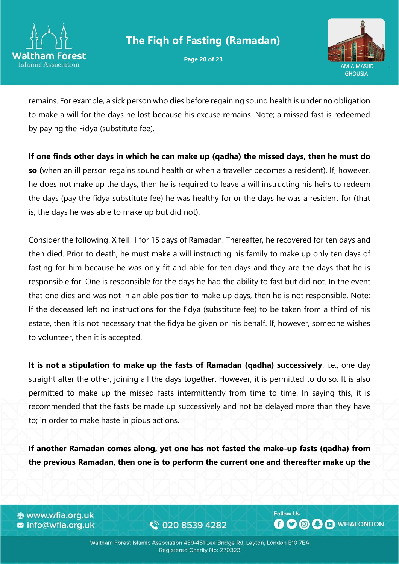

**Page 20 of 23**



remains. For example, a sick person who dies before regaining sound health is under no obligation to make a will for the days he lost because his excuse remains. Note; a missed fast is redeemed by paying the Fidya (substitute fee).

**If one finds other days in which he can make up (qadha) the missed days, then he must do so (**when an ill person regains sound health or when a traveller becomes a resident). If, however, he does not make up the days, then he is required to leave a will instructing his heirs to redeem the days (pay the fidya substitute fee) he was healthy for or the days he was a resident for (that is, the days he was able to make up but did not).

Consider the following. X fell ill for 15 days of Ramadan. Thereafter, he recovered for ten days and then died. Prior to death, he must make a will instructing his family to make up only ten days of fasting for him because he was only fit and able for ten days and they are the days that he is responsible for. One is responsible for the days he had the ability to fast but did not. In the event that one dies and was not in an able position to make up days, then he is not responsible. Note: If the deceased left no instructions for the fidya (substitute fee) to be taken from a third of his estate, then it is not necessary that the fidya be given on his behalf. If, however, someone wishes to volunteer, then it is accepted.

**It is not a stipulation to make up the fasts of Ramadan (qadha) successively**, i.e., one day straight after the other, joining all the days together. However, it is permitted to do so. It is also permitted to make up the missed fasts intermittently from time to time. In saying this, it is recommended that the fasts be made up successively and not be delayed more than they have to; in order to make haste in pious actions.

**If another Ramadan comes along, yet one has not fasted the make-up fasts (qadha) from the previous Ramadan, then one is to perform the current one and thereafter make up the** 

⊕ www.wfia.org.uk ■ info@wfia.org.uk

€ 020 8539 4282

Waltham Forest Islamic Association 439-451 Lea Bridge Rd, Leyton, London E10 7EA Registered Charity No: 270323

**Follow Us**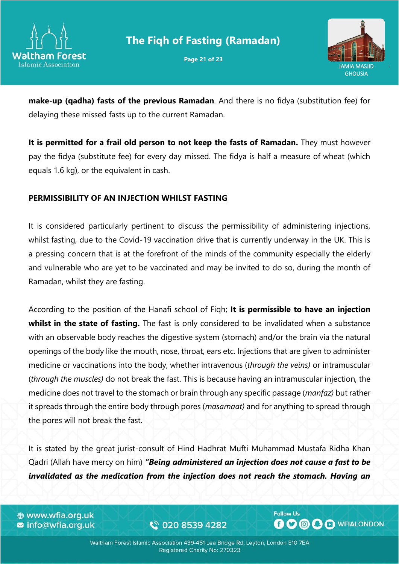

**Page 21 of 23**



**make-up (qadha) fasts of the previous Ramadan**. And there is no fidya (substitution fee) for delaying these missed fasts up to the current Ramadan.

**It is permitted for a frail old person to not keep the fasts of Ramadan.** They must however pay the fidya (substitute fee) for every day missed. The fidya is half a measure of wheat (which equals 1.6 kg), or the equivalent in cash.

#### **PERMISSIBILITY OF AN INJECTION WHILST FASTING**

It is considered particularly pertinent to discuss the permissibility of administering injections, whilst fasting, due to the Covid-19 vaccination drive that is currently underway in the UK. This is a pressing concern that is at the forefront of the minds of the community especially the elderly and vulnerable who are yet to be vaccinated and may be invited to do so, during the month of Ramadan, whilst they are fasting.

According to the position of the Hanafi school of Fiqh; **It is permissible to have an injection**  whilst in the state of fasting. The fast is only considered to be invalidated when a substance with an observable body reaches the digestive system (stomach) and/or the brain via the natural openings of the body like the mouth, nose, throat, ears etc. Injections that are given to administer medicine or vaccinations into the body, whether intravenous (*through the veins)* or intramuscular (*through the muscles)* do not break the fast. This is because having an intramuscular injection, the medicine does not travel to the stomach or brain through any specific passage (*manfaz)* but rather it spreads through the entire body through pores (*masamaat)* and for anything to spread through the pores will not break the fast.

It is stated by the great jurist-consult of Hind Hadhrat Mufti Muhammad Mustafa Ridha Khan Qadri (Allah have mercy on him) *"Being administered an injection does not cause a fast to be invalidated as the medication from the injection does not reach the stomach. Having an* 

⊕ www.wfia.org.uk **z** info@wfia.org.uk

€ 020 8539 4282

Waltham Forest Islamic Association 439-451 Lea Bridge Rd, Leyton, London E10 7EA Registered Charity No: 270323

**Follow Us**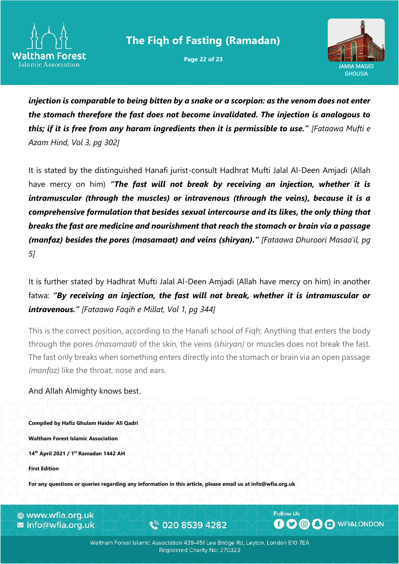

**Page 22 of 23**



*injection is comparable to being bitten by a snake or a scorpion: as the venom does not enter the stomach therefore the fast does not become invalidated. The injection is analogous to this; if it is free from any haram ingredients then it is permissible to use." [Fataawa Mufti e Azam Hind, Vol 3, pg 302]*

It is stated by the distinguished Hanafi jurist-consult Hadhrat Mufti Jalal Al-Deen Amjadi (Allah have mercy on him) *"The fast will not break by receiving an injection, whether it is intramuscular (through the muscles) or intravenous (through the veins), because it is a comprehensive formulation that besides sexual intercourse and its likes, the only thing that breaks the fast are medicine and nourishment that reach the stomach or brain via a passage (manfaz) besides the pores (masamaat) and veins (shiryan)." [Fataawa Dhuroori Masaa'il, pg 5]*

It is further stated by Hadhrat Mufti Jalal Al-Deen Amjadi (Allah have mercy on him) in another fatwa: *"By receiving an injection, the fast will not break, whether it is intramuscular or intravenous." [Fataawa Faqih e Millat, Vol 1, pg 344]*

This is the correct position, according to the Hanafi school of Fiqh; Anything that enters the body through the pores *(masamaat)* of the skin, the veins *(shiryan)* or muscles does not break the fast. The fast only breaks when something enters directly into the stomach or brain via an open passage *(manfaz)* like the throat, nose and ears.

#### And Allah Almighty knows best.

**Compiled by Hafiz Ghulam Haider Ali Qadri Waltham Forest Islamic Association 14th April 2021 / 1 st Ramadan 1442 AH First Edition**

**For any questions or queries regarding any information in this article, please email us at info@wfia.org.uk**

⊕ www.wfia.org.uk **z** info@wfia.org.uk

€ 020 8539 4282

**Follow Us OOOO** O WFIALONDON

Waltham Forest Islamic Association 439-451 Lea Bridge Rd, Leyton, London E10 7EA Registered Charity No: 270323